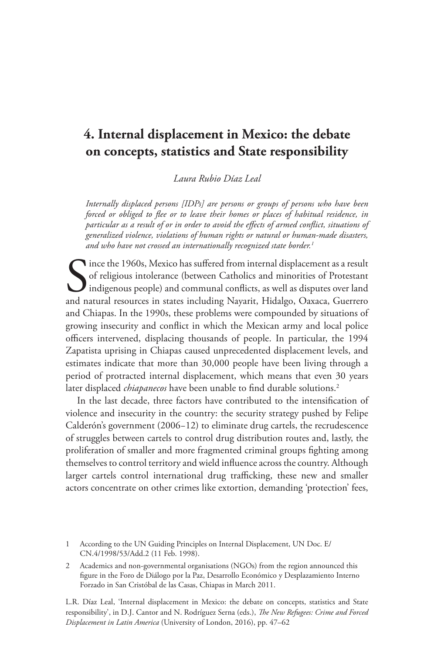# **4. Internal displacement in Mexico: the debate on concepts, statistics and State responsibility**

*Laura Rubio Díaz Leal*

*Internally displaced persons [IDPs] are persons or groups of persons who have been forced or obliged to flee or to leave their homes or places of habitual residence, in particular as a result of or in order to avoid the effects of armed conflict, situations of generalized violence, violations of human rights or natural or human-made disasters, and who have not crossed an internationally recognized state border.1*

Since the 1960s, Mexico has suffered from internal displacement as a result of religious intolerance (between Catholics and minorities of Protestant indigenous people) and communal conflicts, as well as disputes over land of religious intolerance (between Catholics and minorities of Protestant indigenous people) and communal conflicts, as well as disputes over land and natural resources in states including Nayarit, Hidalgo, Oaxaca, Guerrero and Chiapas. In the 1990s, these problems were compounded by situations of growing insecurity and conflict in which the Mexican army and local police officers intervened, displacing thousands of people. In particular, the 1994 Zapatista uprising in Chiapas caused unprecedented displacement levels, and estimates indicate that more than 30,000 people have been living through a period of protracted internal displacement, which means that even 30 years later displaced *chiapanecos* have been unable to find durable solutions.<sup>2</sup>

In the last decade, three factors have contributed to the intensification of violence and insecurity in the country: the security strategy pushed by Felipe Calderón's government (2006−12) to eliminate drug cartels, the recrudescence of struggles between cartels to control drug distribution routes and, lastly, the proliferation of smaller and more fragmented criminal groups fighting among themselves to control territory and wield influence across the country. Although larger cartels control international drug trafficking, these new and smaller actors concentrate on other crimes like extortion, demanding 'protection' fees,

1 According to the UN Guiding Principles on Internal Displacement, UN Doc. E/ CN.4/1998/53/Add.2 (11 Feb. 1998).

Academics and non-governmental organisations (NGOs) from the region announced this figure in the Foro de Diálogo por la Paz, Desarrollo Económico y Desplazamiento Interno Forzado in San Cristóbal de las Casas, Chiapas in March 2011.

L.R. Díaz Leal, 'Internal displacement in Mexico: the debate on concepts, statistics and State responsibility', in D.J. Cantor and N. Rodríguez Serna (eds.), *The New Refugees: Crime and Forced Displacement in Latin America* (University of London, 2016), pp. 47–62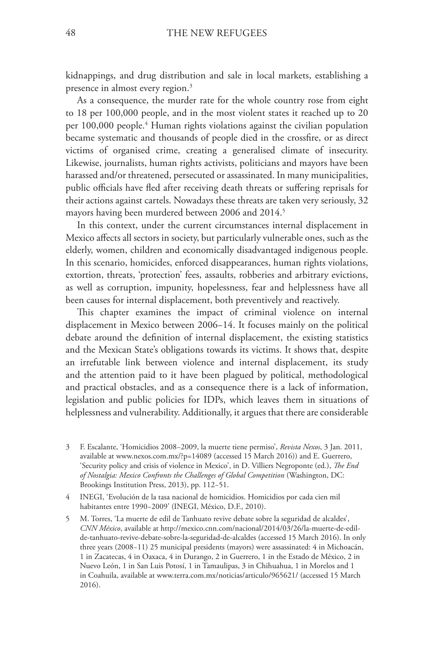kidnappings, and drug distribution and sale in local markets, establishing a presence in almost every region.<sup>3</sup>

As a consequence, the murder rate for the whole country rose from eight to 18 per 100,000 people, and in the most violent states it reached up to 20 per 100,000 people.4 Human rights violations against the civilian population became systematic and thousands of people died in the crossfire, or as direct victims of organised crime, creating a generalised climate of insecurity. Likewise, journalists, human rights activists, politicians and mayors have been harassed and/or threatened, persecuted or assassinated. In many municipalities, public officials have fled after receiving death threats or suffering reprisals for their actions against cartels. Nowadays these threats are taken very seriously, 32 mayors having been murdered between 2006 and 2014.<sup>5</sup>

In this context, under the current circumstances internal displacement in Mexico affects all sectors in society, but particularly vulnerable ones, such as the elderly, women, children and economically disadvantaged indigenous people. In this scenario, homicides, enforced disappearances, human rights violations, extortion, threats, 'protection' fees, assaults, robberies and arbitrary evictions, as well as corruption, impunity, hopelessness, fear and helplessness have all been causes for internal displacement, both preventively and reactively.

This chapter examines the impact of criminal violence on internal displacement in Mexico between 2006−14. It focuses mainly on the political debate around the definition of internal displacement, the existing statistics and the Mexican State's obligations towards its victims. It shows that, despite an irrefutable link between violence and internal displacement, its study and the attention paid to it have been plagued by political, methodological and practical obstacles, and as a consequence there is a lack of information, legislation and public policies for IDPs, which leaves them in situations of helplessness and vulnerability. Additionally, it argues that there are considerable

- 3 F. Escalante, 'Homicidios 2008−2009, la muerte tiene permiso', *Revista Nexos*, 3 Jan. 2011, available at www.nexos.com.mx/?p=14089 (accessed 15 March 2016)) and E. Guerrero, 'Security policy and crisis of violence in Mexico', in D. Villiers Negroponte (ed.), *The End of Nostalgia: Mexico Confronts the Challenges of Global Competition* (Washington, DC: Brookings Institution Press, 2013), pp. 112−51.
- 4 INEGI, 'Evolución de la tasa nacional de homicidios. Homicidios por cada cien mil habitantes entre 1990−2009' (INEGI, México, D.F., 2010).
- 5 M. Torres, 'La muerte de edil de Tanhuato revive debate sobre la seguridad de alcaldes', *CNN México*, available at http://mexico.cnn.com/nacional/2014/03/26/la-muerte-de-edilde-tanhuato-revive-debate-sobre-la-seguridad-de-alcaldes (accessed 15 March 2016). In only three years (2008−11) 25 municipal presidents (mayors) were assassinated: 4 in Michoacán, 1 in Zacatecas, 4 in Oaxaca, 4 in Durango, 2 in Guerrero, 1 in the Estado de México, 2 in Nuevo León, 1 in San Luis Potosí, 1 in Tamaulipas, 3 in Chihuahua, 1 in Morelos and 1 in Coahuila, available at www.terra.com.mx/noticias/articulo/965621/ (accessed 15 March 2016).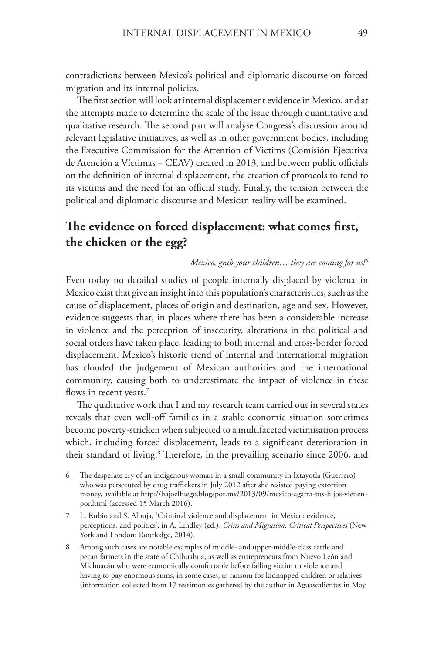contradictions between Mexico's political and diplomatic discourse on forced migration and its internal policies.

The first section will look at internal displacement evidence in Mexico, and at the attempts made to determine the scale of the issue through quantitative and qualitative research. The second part will analyse Congress's discussion around relevant legislative initiatives, as well as in other government bodies, including the Executive Commission for the Attention of Victims (Comisión Ejecutiva de Atención a Víctimas − CEAV) created in 2013, and between public officials on the definition of internal displacement, the creation of protocols to tend to its victims and the need for an official study. Finally, the tension between the political and diplomatic discourse and Mexican reality will be examined.

## **The evidence on forced displacement: what comes first, the chicken or the egg?**

#### *Mexico, grab your children… they are coming for us! 6*

Even today no detailed studies of people internally displaced by violence in Mexico exist that give an insight into this population's characteristics, such as the cause of displacement, places of origin and destination, age and sex. However, evidence suggests that, in places where there has been a considerable increase in violence and the perception of insecurity, alterations in the political and social orders have taken place, leading to both internal and cross-border forced displacement. Mexico's historic trend of internal and international migration has clouded the judgement of Mexican authorities and the international community, causing both to underestimate the impact of violence in these flows in recent years.<sup>7</sup>

The qualitative work that I and my research team carried out in several states reveals that even well-off families in a stable economic situation sometimes become poverty-stricken when subjected to a multifaceted victimisation process which, including forced displacement, leads to a significant deterioration in their standard of living.<sup>8</sup> Therefore, in the prevailing scenario since 2006, and

- 6 The desperate cry of an indigenous woman in a small community in Ixtayotla (Guerrero) who was persecuted by drug traffickers in July 2012 after she resisted paying extortion money, available at http://bajoelfuego.blogspot.mx/2013/09/mexico-agarra-tus-hijos-vienenpor.html (accessed 15 March 2016).
- 7 L. Rubio and S. Albuja, 'Criminal violence and displacement in Mexico: evidence, perceptions, and politics', in A. Lindley (ed.), *Crisis and Migration: Critical Perspectives* (New York and London: Routledge, 2014).
- 8 Among such cases are notable examples of middle- and upper-middle-class cattle and pecan farmers in the state of Chihuahua, as well as entrepreneurs from Nuevo León and Michoacán who were economically comfortable before falling victim to violence and having to pay enormous sums, in some cases, as ransom for kidnapped children or relatives (information collected from 17 testimonies gathered by the author in Aguascalientes in May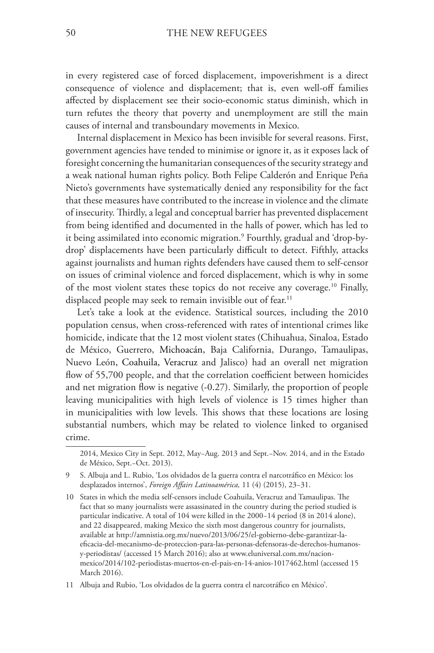in every registered case of forced displacement, impoverishment is a direct consequence of violence and displacement; that is, even well-off families affected by displacement see their socio-economic status diminish, which in turn refutes the theory that poverty and unemployment are still the main causes of internal and transboundary movements in Mexico.

Internal displacement in Mexico has been invisible for several reasons. First, government agencies have tended to minimise or ignore it, as it exposes lack of foresight concerning the humanitarian consequences of the security strategy and a weak national human rights policy. Both Felipe Calderón and Enrique Peña Nieto's governments have systematically denied any responsibility for the fact that these measures have contributed to the increase in violence and the climate of insecurity. Thirdly, a legal and conceptual barrier has prevented displacement from being identified and documented in the halls of power, which has led to it being assimilated into economic migration.9 Fourthly, gradual and 'drop-bydrop' displacements have been particularly difficult to detect. Fifthly, attacks against journalists and human rights defenders have caused them to self-censor on issues of criminal violence and forced displacement, which is why in some of the most violent states these topics do not receive any coverage.10 Finally, displaced people may seek to remain invisible out of fear.<sup>11</sup>

Let's take a look at the evidence. Statistical sources, including the 2010 population census, when cross-referenced with rates of intentional crimes like homicide, indicate that the 12 most violent states (Chihuahua, Sinaloa, Estado de México, Guerrero, Michoacán, Baja California, Durango, Tamaulipas, Nuevo León, Coahuila, Veracruz and Jalisco) had an overall net migration flow of 55,700 people, and that the correlation coefficient between homicides and net migration flow is negative (-0.27). Similarly, the proportion of people leaving municipalities with high levels of violence is 15 times higher than in municipalities with low levels. This shows that these locations are losing substantial numbers, which may be related to violence linked to organised crime.

<sup>2014,</sup> Mexico City in Sept. 2012, May−Aug. 2013 and Sept.−Nov. 2014, and in the Estado de México, Sept.−Oct. 2013).

<sup>9</sup> S. Albuja and L. Rubio, 'Los olvidados de la guerra contra el narcotráfico en México: los desplazados internos', *Foreign Affairs Latinoamérica,* 11 (4) (2015), 23−31.

<sup>10</sup> States in which the media self-censors include Coahuila, Veracruz and Tamaulipas. The fact that so many journalists were assassinated in the country during the period studied is particular indicative. A total of 104 were killed in the 2000−14 period (8 in 2014 alone), and 22 disappeared, making Mexico the sixth most dangerous country for journalists, available at http://amnistia.org.mx/nuevo/2013/06/25/el-gobierno-debe-garantizar-laeficacia-del-mecanismo-de-proteccion-para-las-personas-defensoras-de-derechos-humanosy-periodistas/ (accessed 15 March 2016); also at www.eluniversal.com.mx/nacionmexico/2014/102-periodistas-muertos-en-el-pais-en-14-anios-1017462.html (accessed 15 March 2016).

<sup>11</sup> Albuja and Rubio, 'Los olvidados de la guerra contra el narcotráfico en México'.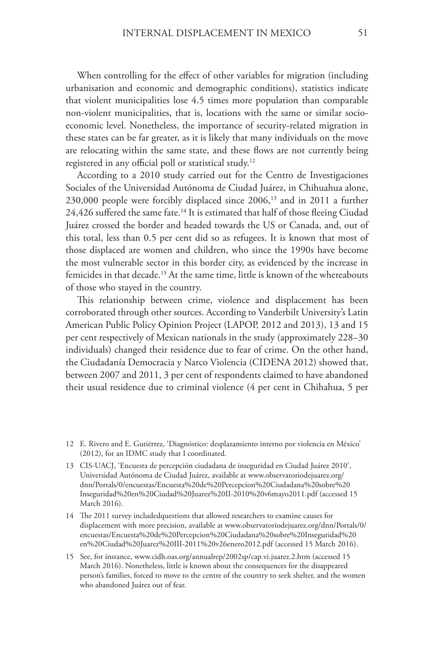When controlling for the effect of other variables for migration (including urbanisation and economic and demographic conditions), statistics indicate that violent municipalities lose 4.5 times more population than comparable non-violent municipalities, that is, locations with the same or similar socioeconomic level. Nonetheless, the importance of security-related migration in these states can be far greater, as it is likely that many individuals on the move are relocating within the same state, and these flows are not currently being registered in any official poll or statistical study.<sup>12</sup>

According to a 2010 study carried out for the Centro de Investigaciones Sociales of the Universidad Autónoma de Ciudad Juárez, in Chihuahua alone, 230,000 people were forcibly displaced since 2006,<sup>13</sup> and in 2011 a further 24,426 suffered the same fate.<sup>14</sup> It is estimated that half of those fleeing Ciudad Juárez crossed the border and headed towards the US or Canada, and, out of this total, less than 0.5 per cent did so as refugees. It is known that most of those displaced are women and children, who since the 1990s have become the most vulnerable sector in this border city, as evidenced by the increase in femicides in that decade.<sup>15</sup> At the same time, little is known of the whereabouts of those who stayed in the country.

This relationship between crime, violence and displacement has been corroborated through other sources. According to Vanderbilt University's Latin American Public Policy Opinion Project (LAPOP, 2012 and 2013), 13 and 15 per cent respectively of Mexican nationals in the study (approximately 228−30 individuals) changed their residence due to fear of crime. On the other hand, the Ciudadanía Democracia y Narco Violencia (CIDENA 2012) showed that, between 2007 and 2011, 3 per cent of respondents claimed to have abandoned their usual residence due to criminal violence (4 per cent in Chihahua, 5 per

<sup>12</sup> E. Rivero and E. Gutiérrez, 'Diagnóstico: desplazamiento interno por violencia en México' (2012), for an IDMC study that I coordinated.

<sup>13</sup> CIS-UACJ, 'Encuesta de percepción ciudadana de inseguridad en Ciudad Juárez 2010', Universidad Autónoma de Ciudad Juárez, available at www.observatoriodejuarez.org/ dnn/Portals/0/encuestas/Encuesta%20de%20Percepcion%20Ciudadana%20sobre%20 Inseguridad%20en%20Ciudad%20Juarez%20II-2010%20v6mayo2011.pdf (accessed 15 March 2016).

<sup>14</sup> The 2011 survey includedquestions that allowed researchers to examine causes for displacement with more precision, available at www.observatoriodejuarez.org/dnn/Portals/0/ encuestas/Encuesta%20de%20Percepcion%20Ciudadana%20sobre%20Inseguridad%20 en%20Ciudad%20Juarez%20III-2011%20v26enero2012.pdf (accessed 15 March 2016).

<sup>15</sup> See, for instance, www.cidh.oas.org/annualrep/2002sp/cap.vi.juarez.2.htm (accessed 15 March 2016). Nonetheless, little is known about the consequences for the disappeared person's families, forced to move to the centre of the country to seek shelter, and the women who abandoned Juárez out of fear.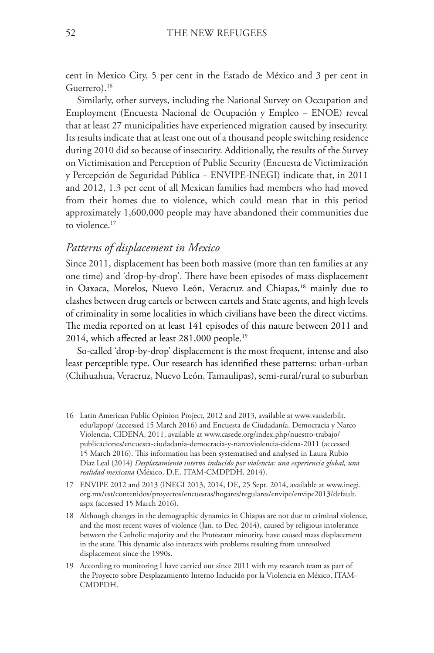cent in Mexico City, 5 per cent in the Estado de México and 3 per cent in Guerrero).16

Similarly, other surveys, including the National Survey on Occupation and Employment (Encuesta Nacional de Ocupación y Empleo − ENOE) reveal that at least 27 municipalities have experienced migration caused by insecurity. Its results indicate that at least one out of a thousand people switching residence during 2010 did so because of insecurity. Additionally, the results of the Survey on Victimisation and Perception of Public Security (Encuesta de Victimización y Percepción de Seguridad Pública − ENVIPE-INEGI) indicate that, in 2011 and 2012, 1.3 per cent of all Mexican families had members who had moved from their homes due to violence, which could mean that in this period approximately 1,600,000 people may have abandoned their communities due to violence.<sup>17</sup>

#### *Patterns of displacement in Mexico*

Since 2011, displacement has been both massive (more than ten families at any one time) and 'drop-by-drop'. There have been episodes of mass displacement in Oaxaca, Morelos, Nuevo León, Veracruz and Chiapas,<sup>18</sup> mainly due to clashes between drug cartels or between cartels and State agents, and high levels of criminality in some localities in which civilians have been the direct victims. The media reported on at least 141 episodes of this nature between 2011 and 2014, which affected at least 281,000 people.19

So-called 'drop-by-drop' displacement is the most frequent, intense and also least perceptible type. Our research has identified these patterns: urban-urban (Chihuahua, Veracruz, Nuevo León, Tamaulipas), semi-rural/rural to suburban

19 According to monitoring I have carried out since 2011 with my research team as part of the Proyecto sobre Desplazamiento Interno Inducido por la Violencia en México, ITAM-CMDPDH.

<sup>16</sup> Latin American Public Opinion Project, 2012 and 2013, available at www.vanderbilt. edu/lapop/ (accessed 15 March 2016) and Encuesta de Ciudadanía, Democracia y Narco Violencia, CIDENA, 2011, available at www.casede.org/index.php/nuestro-trabajo/ publicaciones/encuesta-ciudadania-democracia-y-narcoviolencia-cidena-2011 (accessed 15 March 2016). This information has been systematised and analysed in Laura Rubio Díaz Leal (2014) *Desplazamiento interno inducido por violencia: una experiencia global, una realidad mexicana* (México, D.F., ITAM-CMDPDH, 2014).

<sup>17</sup> ENVIPE 2012 and 2013 (INEGI 2013, 2014, DE, 25 Sept. 2014, available at www.inegi. org.mx/est/contenidos/proyectos/encuestas/hogares/regulares/envipe/envipe2013/default. aspx (accessed 15 March 2016).

<sup>18</sup> Although changes in the demographic dynamics in Chiapas are not due to criminal violence, and the most recent waves of violence (Jan. to Dec. 2014), caused by religious intolerance between the Catholic majority and the Protestant minority, have caused mass displacement in the state. This dynamic also interacts with problems resulting from unresolved displacement since the 1990s.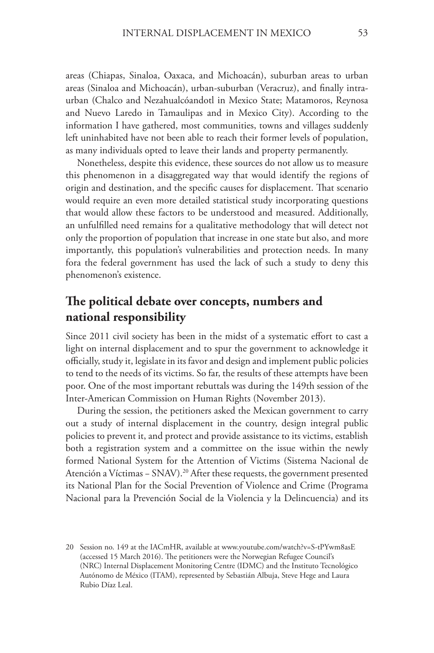areas (Chiapas, Sinaloa, Oaxaca, and Michoacán), suburban areas to urban areas (Sinaloa and Michoacán), urban-suburban (Veracruz), and finally intraurban (Chalco and Nezahualcóandotl in Mexico State; Matamoros, Reynosa and Nuevo Laredo in Tamaulipas and in Mexico City). According to the information I have gathered, most communities, towns and villages suddenly left uninhabited have not been able to reach their former levels of population, as many individuals opted to leave their lands and property permanently.

Nonetheless, despite this evidence, these sources do not allow us to measure this phenomenon in a disaggregated way that would identify the regions of origin and destination, and the specific causes for displacement. That scenario would require an even more detailed statistical study incorporating questions that would allow these factors to be understood and measured. Additionally, an unfulfilled need remains for a qualitative methodology that will detect not only the proportion of population that increase in one state but also, and more importantly, this population's vulnerabilities and protection needs. In many fora the federal government has used the lack of such a study to deny this phenomenon's existence.

## **The political debate over concepts, numbers and national responsibility**

Since 2011 civil society has been in the midst of a systematic effort to cast a light on internal displacement and to spur the government to acknowledge it officially, study it, legislate in its favor and design and implement public policies to tend to the needs of its victims. So far, the results of these attempts have been poor. One of the most important rebuttals was during the 149th session of the Inter-American Commission on Human Rights (November 2013).

During the session, the petitioners asked the Mexican government to carry out a study of internal displacement in the country, design integral public policies to prevent it, and protect and provide assistance to its victims, establish both a registration system and a committee on the issue within the newly formed National System for the Attention of Victims (Sistema Nacional de Atención a Víctimas − SNAV).20 After these requests, the government presented its National Plan for the Social Prevention of Violence and Crime (Programa Nacional para la Prevención Social de la Violencia y la Delincuencia) and its

<sup>20</sup> Session no. 149 at the IACmHR, available at www.youtube.com/watch?v=S-tPYwm8asE (accessed 15 March 2016). The petitioners were the Norwegian Refugee Council's (NRC) Internal Displacement Monitoring Centre (IDMC) and the Instituto Tecnológico Autónomo de México (ITAM), represented by Sebastián Albuja, Steve Hege and Laura Rubio Díaz Leal.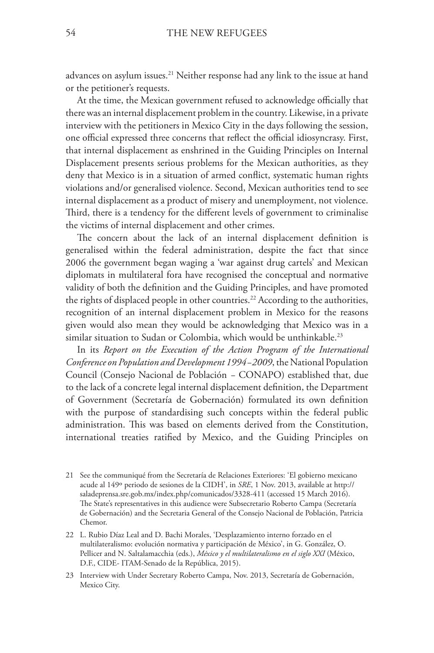advances on asylum issues.21 Neither response had any link to the issue at hand or the petitioner's requests.

At the time, the Mexican government refused to acknowledge officially that there was an internal displacement problem in the country. Likewise, in a private interview with the petitioners in Mexico City in the days following the session, one official expressed three concerns that reflect the official idiosyncrasy. First, that internal displacement as enshrined in the Guiding Principles on Internal Displacement presents serious problems for the Mexican authorities, as they deny that Mexico is in a situation of armed conflict, systematic human rights violations and/or generalised violence. Second, Mexican authorities tend to see internal displacement as a product of misery and unemployment, not violence. Third, there is a tendency for the different levels of government to criminalise the victims of internal displacement and other crimes.

The concern about the lack of an internal displacement definition is generalised within the federal administration, despite the fact that since 2006 the government began waging a 'war against drug cartels' and Mexican diplomats in multilateral fora have recognised the conceptual and normative validity of both the definition and the Guiding Principles, and have promoted the rights of displaced people in other countries.<sup>22</sup> According to the authorities, recognition of an internal displacement problem in Mexico for the reasons given would also mean they would be acknowledging that Mexico was in a similar situation to Sudan or Colombia, which would be unthinkable.<sup>23</sup>

In its *Report on the Execution of the Action Program of the International Conference on Population and Development 1994−2009*, the National Population Council (Consejo Nacional de Población *−* CONAPO) established that, due to the lack of a concrete legal internal displacement definition, the Department of Government (Secretaría de Gobernación) formulated its own definition with the purpose of standardising such concepts within the federal public administration. This was based on elements derived from the Constitution, international treaties ratified by Mexico, and the Guiding Principles on

23 Interview with Under Secretary Roberto Campa, Nov. 2013, Secretaría de Gobernación, Mexico City.

<sup>21</sup> See the communiqué from the Secretaría de Relaciones Exteriores: 'El gobierno mexicano acude al 149º periodo de sesiones de la CIDH', in *SRE*, 1 Nov. 2013, available at http:// saladeprensa.sre.gob.mx/index.php/comunicados/3328-411 (accessed 15 March 2016). The State's representatives in this audience were Subsecretario Roberto Campa (Secretaría de Gobernación) and the Secretaria General of the Consejo Nacional de Población, Patricia Chemor.

<sup>22</sup> L. Rubio Díaz Leal and D. Bachi Morales, 'Desplazamiento interno forzado en el multilateralismo: evolución normativa y participación de México', in G. González, O. Pellicer and N. Saltalamacchia (eds.), *México y el multilateralismo en el siglo XXI* (México, D.F., CIDE- ITAM-Senado de la República, 2015).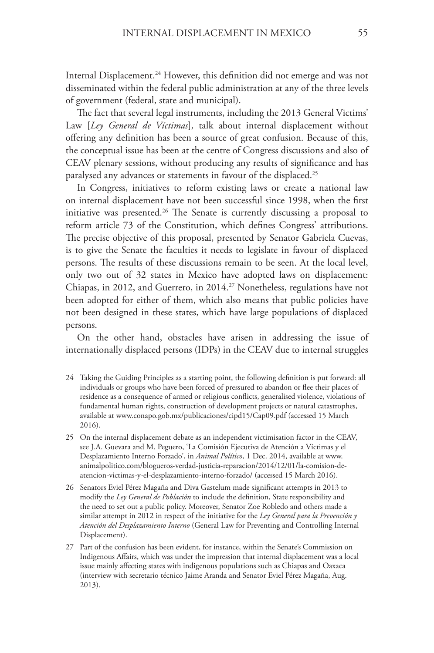Internal Displacement.<sup>24</sup> However, this definition did not emerge and was not disseminated within the federal public administration at any of the three levels of government (federal, state and municipal).

The fact that several legal instruments, including the 2013 General Victims' Law [*Ley General de Víctimas*], talk about internal displacement without offering any definition has been a source of great confusion. Because of this, the conceptual issue has been at the centre of Congress discussions and also of CEAV plenary sessions, without producing any results of significance and has paralysed any advances or statements in favour of the displaced.25

In Congress, initiatives to reform existing laws or create a national law on internal displacement have not been successful since 1998, when the first initiative was presented.<sup>26</sup> The Senate is currently discussing a proposal to reform article 73 of the Constitution, which defines Congress' attributions. The precise objective of this proposal, presented by Senator Gabriela Cuevas, is to give the Senate the faculties it needs to legislate in favour of displaced persons. The results of these discussions remain to be seen. At the local level, only two out of 32 states in Mexico have adopted laws on displacement: Chiapas, in 2012, and Guerrero, in 2014.<sup>27</sup> Nonetheless, regulations have not been adopted for either of them, which also means that public policies have not been designed in these states, which have large populations of displaced persons.

On the other hand, obstacles have arisen in addressing the issue of internationally displaced persons (IDPs) in the CEAV due to internal struggles

- 24 Taking the Guiding Principles as a starting point, the following definition is put forward: all individuals or groups who have been forced of pressured to abandon or flee their places of residence as a consequence of armed or religious conflicts, generalised violence, violations of fundamental human rights, construction of development projects or natural catastrophes, available at www.conapo.gob.mx/publicaciones/cipd15/Cap09.pdf (accessed 15 March 2016).
- 25 On the internal displacement debate as an independent victimisation factor in the CEAV, see J.A. Guevara and M. Peguero, 'La Comisión Ejecutiva de Atención a Víctimas y el Desplazamiento Interno Forzado', in *Animal Político*, 1 Dec. 2014, available at www. animalpolitico.com/blogueros-verdad-justicia-reparacion/2014/12/01/la-comision-deatencion-victimas-y-el-desplazamiento-interno-forzado/ (accessed 15 March 2016).
- 26 Senators Eviel Pérez Magaña and Diva Gastelum made significant attempts in 2013 to modify the *Ley General de Población* to include the definition, State responsibility and the need to set out a public policy. Moreover, Senator Zoe Robledo and others made a similar attempt in 2012 in respect of the initiative for the *Ley General para la Prevención y Atención del Desplazamiento Interno* (General Law for Preventing and Controlling Internal Displacement).
- 27 Part of the confusion has been evident, for instance, within the Senate's Commission on Indigenous Affairs, which was under the impression that internal displacement was a local issue mainly affecting states with indigenous populations such as Chiapas and Oaxaca (interview with secretario técnico Jaime Aranda and Senator Eviel Pérez Magaña, Aug. 2013).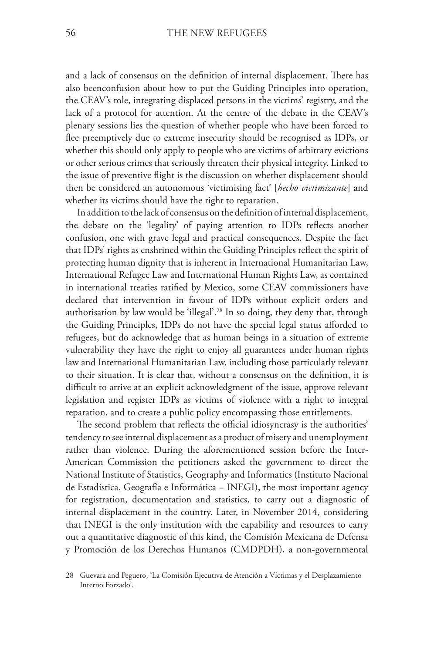and a lack of consensus on the definition of internal displacement. There has also beenconfusion about how to put the Guiding Principles into operation, the CEAV's role, integrating displaced persons in the victims' registry, and the lack of a protocol for attention. At the centre of the debate in the CEAV's plenary sessions lies the question of whether people who have been forced to flee preemptively due to extreme insecurity should be recognised as IDPs, or whether this should only apply to people who are victims of arbitrary evictions or other serious crimes that seriously threaten their physical integrity. Linked to the issue of preventive flight is the discussion on whether displacement should then be considered an autonomous 'victimising fact' [*hecho victimizante*] and whether its victims should have the right to reparation.

In addition to the lack of consensus on the definition of internal displacement, the debate on the 'legality' of paying attention to IDPs reflects another confusion, one with grave legal and practical consequences. Despite the fact that IDPs' rights as enshrined within the Guiding Principles reflect the spirit of protecting human dignity that is inherent in International Humanitarian Law, International Refugee Law and International Human Rights Law, as contained in international treaties ratified by Mexico, some CEAV commissioners have declared that intervention in favour of IDPs without explicit orders and authorisation by law would be 'illegal'.28 In so doing, they deny that, through the Guiding Principles, IDPs do not have the special legal status afforded to refugees, but do acknowledge that as human beings in a situation of extreme vulnerability they have the right to enjoy all guarantees under human rights law and International Humanitarian Law, including those particularly relevant to their situation. It is clear that, without a consensus on the definition, it is difficult to arrive at an explicit acknowledgment of the issue, approve relevant legislation and register IDPs as victims of violence with a right to integral reparation, and to create a public policy encompassing those entitlements.

The second problem that reflects the official idiosyncrasy is the authorities' tendency to see internal displacement as a product of misery and unemployment rather than violence. During the aforementioned session before the Inter-American Commission the petitioners asked the government to direct the National Institute of Statistics, Geography and Informatics (Instituto Nacional de Estadística, Geografía e Informática − INEGI), the most important agency for registration, documentation and statistics, to carry out a diagnostic of internal displacement in the country. Later, in November 2014, considering that INEGI is the only institution with the capability and resources to carry out a quantitative diagnostic of this kind, the Comisión Mexicana de Defensa y Promoción de los Derechos Humanos (CMDPDH), a non-governmental

<sup>28</sup> Guevara and Peguero, 'La Comisión Ejecutiva de Atención a Víctimas y el Desplazamiento Interno Forzado'.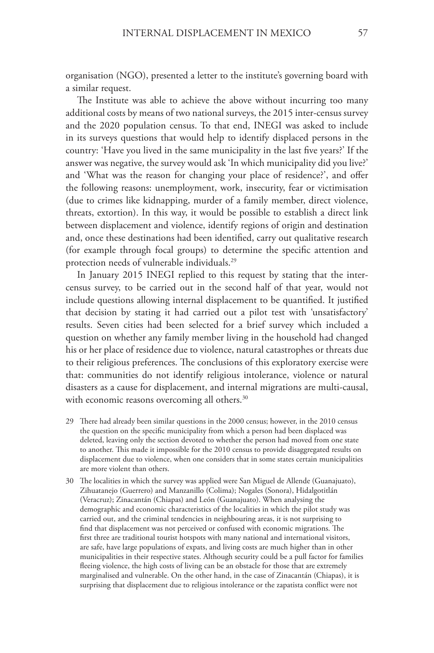organisation (NGO), presented a letter to the institute's governing board with a similar request.

The Institute was able to achieve the above without incurring too many additional costs by means of two national surveys, the 2015 inter-census survey and the 2020 population census. To that end, INEGI was asked to include in its surveys questions that would help to identify displaced persons in the country: 'Have you lived in the same municipality in the last five years?' If the answer was negative, the survey would ask 'In which municipality did you live?' and 'What was the reason for changing your place of residence?', and offer the following reasons: unemployment, work, insecurity, fear or victimisation (due to crimes like kidnapping, murder of a family member, direct violence, threats, extortion). In this way, it would be possible to establish a direct link between displacement and violence, identify regions of origin and destination and, once these destinations had been identified, carry out qualitative research (for example through focal groups) to determine the specific attention and protection needs of vulnerable individuals.29

In January 2015 INEGI replied to this request by stating that the intercensus survey, to be carried out in the second half of that year, would not include questions allowing internal displacement to be quantified. It justified that decision by stating it had carried out a pilot test with 'unsatisfactory' results. Seven cities had been selected for a brief survey which included a question on whether any family member living in the household had changed his or her place of residence due to violence, natural catastrophes or threats due to their religious preferences. The conclusions of this exploratory exercise were that: communities do not identify religious intolerance, violence or natural disasters as a cause for displacement, and internal migrations are multi-causal, with economic reasons overcoming all others.<sup>30</sup>

- 29 There had already been similar questions in the 2000 census; however, in the 2010 census the question on the specific municipality from which a person had been displaced was deleted, leaving only the section devoted to whether the person had moved from one state to another. This made it impossible for the 2010 census to provide disaggregated results on displacement due to violence, when one considers that in some states certain municipalities are more violent than others.
- 30 The localities in which the survey was applied were San Miguel de Allende (Guanajuato), Zihuatanejo (Guerrero) and Manzanillo (Colima); Nogales (Sonora), Hidalgotitlán (Veracruz); Zinacantán (Chiapas) and León (Guanajuato). When analysing the demographic and economic characteristics of the localities in which the pilot study was carried out, and the criminal tendencies in neighbouring areas, it is not surprising to find that displacement was not perceived or confused with economic migrations. The first three are traditional tourist hotspots with many national and international visitors, are safe, have large populations of expats, and living costs are much higher than in other municipalities in their respective states. Although security could be a pull factor for families fleeing violence, the high costs of living can be an obstacle for those that are extremely marginalised and vulnerable. On the other hand, in the case of Zinacantán (Chiapas), it is surprising that displacement due to religious intolerance or the zapatista conflict were not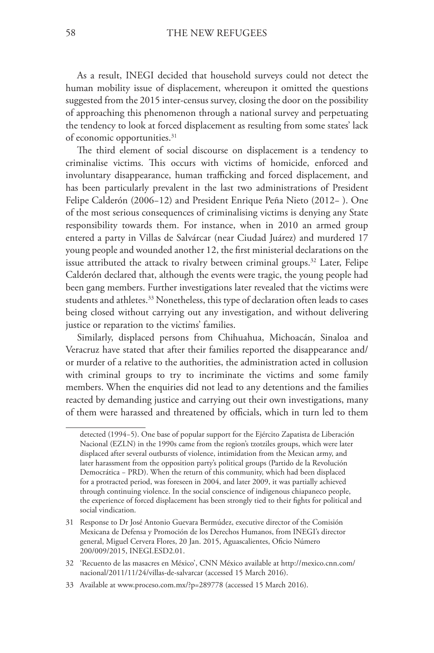As a result, INEGI decided that household surveys could not detect the human mobility issue of displacement, whereupon it omitted the questions suggested from the 2015 inter-census survey, closing the door on the possibility of approaching this phenomenon through a national survey and perpetuating the tendency to look at forced displacement as resulting from some states' lack of economic opportunities.<sup>31</sup>

The third element of social discourse on displacement is a tendency to criminalise victims. This occurs with victims of homicide, enforced and involuntary disappearance, human trafficking and forced displacement, and has been particularly prevalent in the last two administrations of President Felipe Calderón (2006−12) and President Enrique Peña Nieto (2012− ). One of the most serious consequences of criminalising victims is denying any State responsibility towards them. For instance, when in 2010 an armed group entered a party in Villas de Salvárcar (near Ciudad Juárez) and murdered 17 young people and wounded another 12, the first ministerial declarations on the issue attributed the attack to rivalry between criminal groups.<sup>32</sup> Later, Felipe Calderón declared that, although the events were tragic, the young people had been gang members. Further investigations later revealed that the victims were students and athletes.<sup>33</sup> Nonetheless, this type of declaration often leads to cases being closed without carrying out any investigation, and without delivering justice or reparation to the victims' families.

Similarly, displaced persons from Chihuahua, Michoacán, Sinaloa and Veracruz have stated that after their families reported the disappearance and/ or murder of a relative to the authorities, the administration acted in collusion with criminal groups to try to incriminate the victims and some family members. When the enquiries did not lead to any detentions and the families reacted by demanding justice and carrying out their own investigations, many of them were harassed and threatened by officials, which in turn led to them

detected (1994−5). One base of popular support for the Ejército Zapatista de Liberación Nacional (EZLN) in the 1990s came from the region's tzotziles groups, which were later displaced after several outbursts of violence, intimidation from the Mexican army, and later harassment from the opposition party's political groups (Partido de la Revolución Democrática − PRD). When the return of this community, which had been displaced for a protracted period, was foreseen in 2004, and later 2009, it was partially achieved through continuing violence. In the social conscience of indigenous chiapaneco people, the experience of forced displacement has been strongly tied to their fights for political and social vindication.

<sup>31</sup> Response to Dr José Antonio Guevara Bermúdez, executive director of the Comisión Mexicana de Defensa y Promoción de los Derechos Humanos, from INEGI's director general, Miguel Cervera Flores, 20 Jan. 2015, Aguascalientes, Oficio Número 200/009/2015, INEGI.ESD2.01.

<sup>32</sup> 'Recuento de las masacres en México', CNN México available at http://mexico.cnn.com/ nacional/2011/11/24/villas-de-salvarcar (accessed 15 March 2016).

<sup>33</sup> Available at www.proceso.com.mx/?p=289778 (accessed 15 March 2016).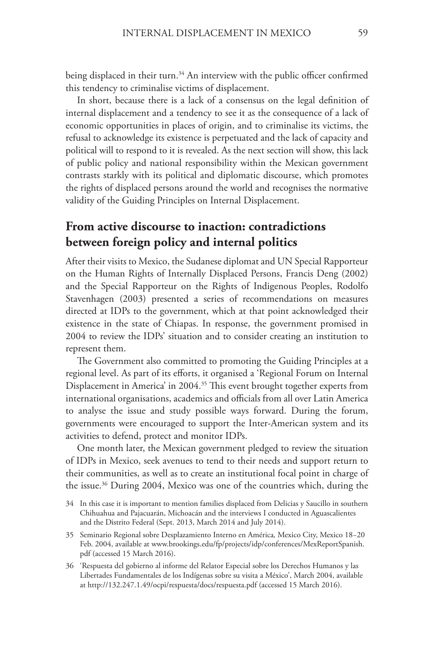being displaced in their turn.<sup>34</sup> An interview with the public officer confirmed this tendency to criminalise victims of displacement.

In short, because there is a lack of a consensus on the legal definition of internal displacement and a tendency to see it as the consequence of a lack of economic opportunities in places of origin, and to criminalise its victims, the refusal to acknowledge its existence is perpetuated and the lack of capacity and political will to respond to it is revealed. As the next section will show, this lack of public policy and national responsibility within the Mexican government contrasts starkly with its political and diplomatic discourse, which promotes the rights of displaced persons around the world and recognises the normative validity of the Guiding Principles on Internal Displacement.

### **From active discourse to inaction: contradictions between foreign policy and internal politics**

After their visits to Mexico, the Sudanese diplomat and UN Special Rapporteur on the Human Rights of Internally Displaced Persons, Francis Deng (2002) and the Special Rapporteur on the Rights of Indigenous Peoples, Rodolfo Stavenhagen (2003) presented a series of recommendations on measures directed at IDPs to the government, which at that point acknowledged their existence in the state of Chiapas. In response, the government promised in 2004 to review the IDPs' situation and to consider creating an institution to represent them.

The Government also committed to promoting the Guiding Principles at a regional level. As part of its efforts, it organised a 'Regional Forum on Internal Displacement in America' in 2004.<sup>35</sup> This event brought together experts from international organisations, academics and officials from all over Latin America to analyse the issue and study possible ways forward. During the forum, governments were encouraged to support the Inter-American system and its activities to defend, protect and monitor IDPs.

One month later, the Mexican government pledged to review the situation of IDPs in Mexico, seek avenues to tend to their needs and support return to their communities, as well as to create an institutional focal point in charge of the issue.36 During 2004, Mexico was one of the countries which, during the

<sup>34</sup> In this case it is important to mention families displaced from Delicias y Saucillo in southern Chihuahua and Pajacuarán, Michoacán and the interviews I conducted in Aguascalientes and the Distrito Federal (Sept. 2013, March 2014 and July 2014).

<sup>35</sup> Seminario Regional sobre Desplazamiento Interno en América*,* Mexico City, Mexico 18−20 Feb. 2004, available at www.brookings.edu/fp/projects/idp/conferences/MexReportSpanish. pdf (accessed 15 March 2016).

<sup>36</sup> 'Respuesta del gobierno al informe del Relator Especial sobre los Derechos Humanos y las Libertades Fundamentales de los Indígenas sobre su visita a México', March 2004, available at http://132.247.1.49/ocpi/respuesta/docs/respuesta.pdf (accessed 15 March 2016).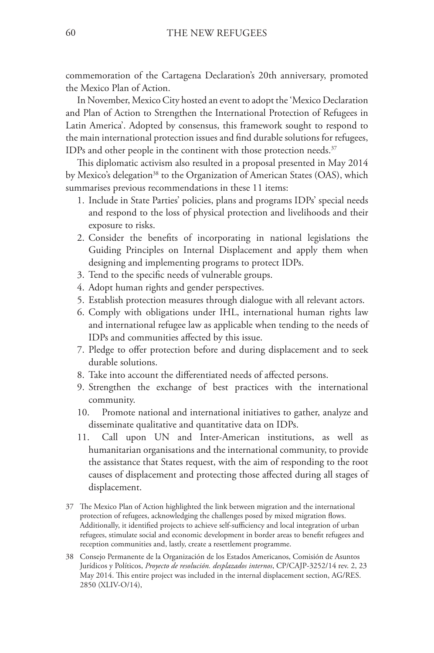commemoration of the Cartagena Declaration's 20th anniversary, promoted the Mexico Plan of Action.

In November, Mexico City hosted an event to adopt the 'Mexico Declaration and Plan of Action to Strengthen the International Protection of Refugees in Latin America'. Adopted by consensus, this framework sought to respond to the main international protection issues and find durable solutions for refugees, IDPs and other people in the continent with those protection needs.<sup>37</sup>

This diplomatic activism also resulted in a proposal presented in May 2014 by Mexico's delegation<sup>38</sup> to the Organization of American States (OAS), which summarises previous recommendations in these 11 items:

- 1. Include in State Parties' policies, plans and programs IDPs' special needs and respond to the loss of physical protection and livelihoods and their exposure to risks.
- 2. Consider the benefits of incorporating in national legislations the Guiding Principles on Internal Displacement and apply them when designing and implementing programs to protect IDPs.
- 3. Tend to the specific needs of vulnerable groups.
- 4. Adopt human rights and gender perspectives.
- 5. Establish protection measures through dialogue with all relevant actors.
- 6. Comply with obligations under IHL, international human rights law and international refugee law as applicable when tending to the needs of IDPs and communities affected by this issue.
- 7. Pledge to offer protection before and during displacement and to seek durable solutions.
- 8. Take into account the differentiated needs of affected persons.
- 9. Strengthen the exchange of best practices with the international community.
- 10. Promote national and international initiatives to gather, analyze and disseminate qualitative and quantitative data on IDPs.
- 11. Call upon UN and Inter-American institutions, as well as humanitarian organisations and the international community, to provide the assistance that States request, with the aim of responding to the root causes of displacement and protecting those affected during all stages of displacement.
- 37 The Mexico Plan of Action highlighted the link between migration and the international protection of refugees, acknowledging the challenges posed by mixed migration flows. Additionally, it identified projects to achieve self-sufficiency and local integration of urban refugees, stimulate social and economic development in border areas to benefit refugees and reception communities and, lastly, create a resettlement programme.
- 38 Consejo Permanente de la Organización de los Estados Americanos, Comisión de Asuntos Jurídicos y Políticos, *Proyecto de resolución. desplazados internos*, CP/CAJP-3252/14 rev. 2, 23 May 2014. This entire project was included in the internal displacement section, AG/RES. 2850 (XLIV-O/14),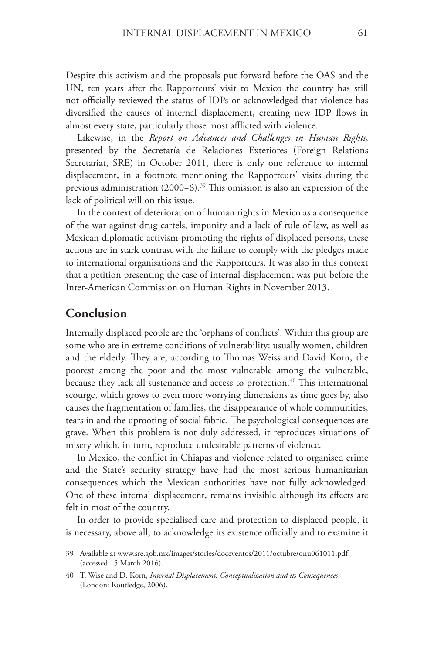Despite this activism and the proposals put forward before the OAS and the UN, ten years after the Rapporteurs' visit to Mexico the country has still not officially reviewed the status of IDPs or acknowledged that violence has diversified the causes of internal displacement, creating new IDP flows in almost every state, particularly those most afflicted with violence.

Likewise, in the *Report on Advances and Challenges in Human Rights*, presented by the Secretaría de Relaciones Exteriores (Foreign Relations Secretariat, SRE) in October 2011, there is only one reference to internal displacement, in a footnote mentioning the Rapporteurs' visits during the previous administration (2000−6).39 This omission is also an expression of the lack of political will on this issue.

In the context of deterioration of human rights in Mexico as a consequence of the war against drug cartels, impunity and a lack of rule of law, as well as Mexican diplomatic activism promoting the rights of displaced persons, these actions are in stark contrast with the failure to comply with the pledges made to international organisations and the Rapporteurs. It was also in this context that a petition presenting the case of internal displacement was put before the Inter-American Commission on Human Rights in November 2013.

### **Conclusion**

Internally displaced people are the 'orphans of conflicts'. Within this group are some who are in extreme conditions of vulnerability: usually women, children and the elderly. They are, according to Thomas Weiss and David Korn, the poorest among the poor and the most vulnerable among the vulnerable, because they lack all sustenance and access to protection.<sup>40</sup> This international scourge, which grows to even more worrying dimensions as time goes by, also causes the fragmentation of families, the disappearance of whole communities, tears in and the uprooting of social fabric. The psychological consequences are grave. When this problem is not duly addressed, it reproduces situations of misery which, in turn, reproduce undesirable patterns of violence.

In Mexico, the conflict in Chiapas and violence related to organised crime and the State's security strategy have had the most serious humanitarian consequences which the Mexican authorities have not fully acknowledged. One of these internal displacement, remains invisible although its effects are felt in most of the country.

In order to provide specialised care and protection to displaced people, it is necessary, above all, to acknowledge its existence officially and to examine it

<sup>39</sup> Available at www.sre.gob.mx/images/stories/doceventos/2011/octubre/onu061011.pdf (accessed 15 March 2016).

<sup>40</sup> T. Wise and D. Korn, *Internal Displacement: Conceptualization and its Consequences* (London: Routledge, 2006).